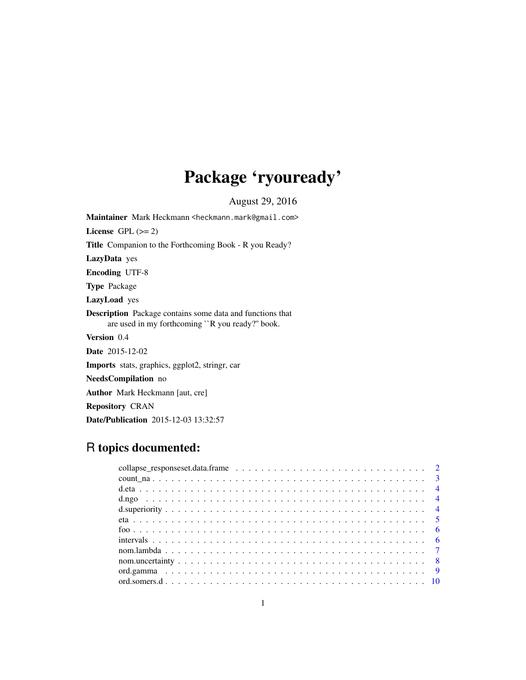# Package 'ryouready'

August 29, 2016

<span id="page-0-0"></span>Maintainer Mark Heckmann <heckmann.mark@gmail.com> License GPL  $(>= 2)$ Title Companion to the Forthcoming Book - R you Ready? LazyData yes Encoding UTF-8 Type Package LazyLoad yes Description Package contains some data and functions that are used in my forthcoming ``R you ready?'' book. Version 0.4 Date 2015-12-02 Imports stats, graphics, ggplot2, stringr, car NeedsCompilation no Author Mark Heckmann [aut, cre] Repository CRAN Date/Publication 2015-12-03 13:32:57

# R topics documented: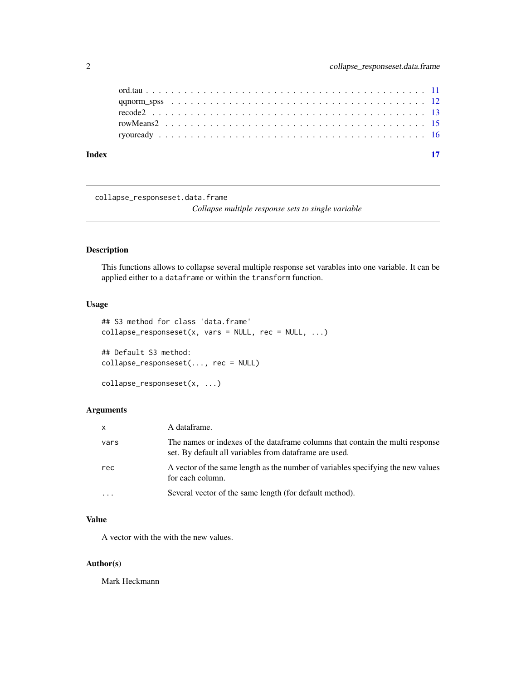<span id="page-1-0"></span>

| Index |  |  |  |  |  |  |  |  |  |  |  |  |  |  |  |
|-------|--|--|--|--|--|--|--|--|--|--|--|--|--|--|--|
|       |  |  |  |  |  |  |  |  |  |  |  |  |  |  |  |
|       |  |  |  |  |  |  |  |  |  |  |  |  |  |  |  |
|       |  |  |  |  |  |  |  |  |  |  |  |  |  |  |  |
|       |  |  |  |  |  |  |  |  |  |  |  |  |  |  |  |
|       |  |  |  |  |  |  |  |  |  |  |  |  |  |  |  |

collapse\_responseset.data.frame

*Collapse multiple response sets to single variable*

# Description

This functions allows to collapse several multiple response set varables into one variable. It can be applied either to a dataframe or within the transform function.

### Usage

```
## S3 method for class 'data.frame'
collapse\_responseset(x, vars = NULL, rec = NULL, ...)## Default S3 method:
collapse_responseset(..., rec = NULL)
collapse_responseset(x, ...)
```
# Arguments

| $\mathsf{x}$ | A dataframe.                                                                                                                             |
|--------------|------------------------------------------------------------------------------------------------------------------------------------------|
| vars         | The names or indexes of the data frame columns that contain the multi response<br>set. By default all variables from dataframe are used. |
| rec          | A vector of the same length as the number of variables specifying the new values<br>for each column.                                     |
|              | Several vector of the same length (for default method).                                                                                  |

#### Value

A vector with the with the new values.

#### Author(s)

Mark Heckmann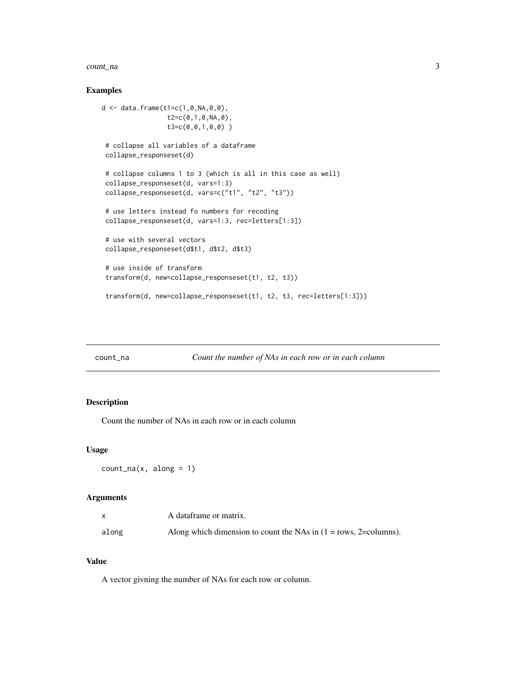#### <span id="page-2-0"></span>count\_na 3

#### Examples

```
d <- data.frame(t1=c(1,0,NA,0,0),
                 t2=c(0,1,0,NA,0),
                 t3=c(0,0,1,0,0) )
# collapse all variables of a dataframe
collapse_responseset(d)
# collapse columns 1 to 3 (which is all in this case as well)
collapse_responseset(d, vars=1:3)
collapse_responseset(d, vars=c("t1", "t2", "t3"))
# use letters instead fo numbers for recoding
collapse_responseset(d, vars=1:3, rec=letters[1:3])
# use with several vectors
collapse_responseset(d$t1, d$t2, d$t3)
# use inside of transform
transform(d, new=collapse_responseset(t1, t2, t3))
 transform(d, new=collapse_responseset(t1, t2, t3, rec=letters[1:3]))
```
count\_na *Count the number of NAs in each row or in each column*

# Description

Count the number of NAs in each row or in each column

#### Usage

```
count_na(x, along = 1)
```
# Arguments

|       | A dataframe or matrix.                                                |
|-------|-----------------------------------------------------------------------|
| along | Along which dimension to count the NAs in $(1 = rows, 2 = columns)$ . |

# Value

A vector givning the number of NAs for each row or column.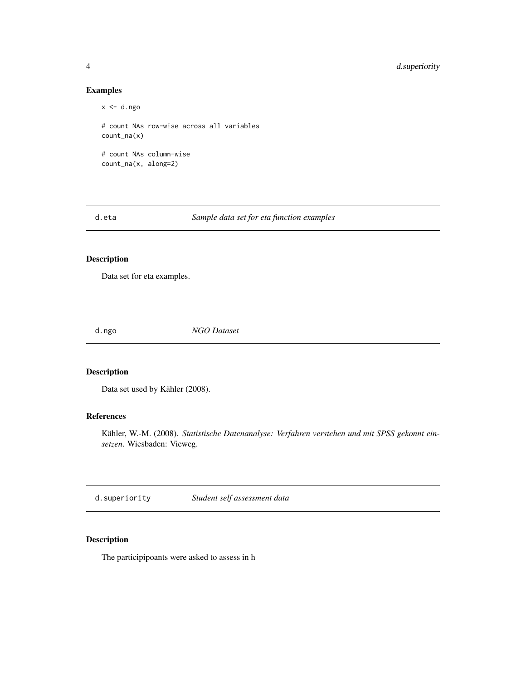#### Examples

```
x < -d.\nngo# count NAs row-wise across all variables
count_na(x)
# count NAs column-wise
count_na(x, along=2)
```
d.eta *Sample data set for eta function examples*

# Description

Data set for eta examples.

d.ngo *NGO Dataset*

# Description

Data set used by Kähler (2008).

# References

Kähler, W.-M. (2008). *Statistische Datenanalyse: Verfahren verstehen und mit SPSS gekonnt einsetzen*. Wiesbaden: Vieweg.

d.superiority *Student self assessment data*

# Description

The participipoants were asked to assess in h

<span id="page-3-0"></span>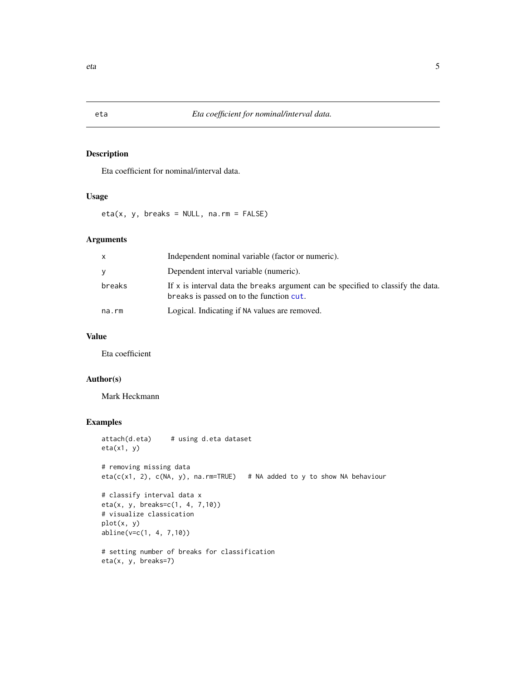Eta coefficient for nominal/interval data.

#### Usage

eta(x, y, breaks = NULL, na.rm = FALSE)

#### Arguments

| $\mathsf{x}$ | Independent nominal variable (factor or numeric).                                                                            |
|--------------|------------------------------------------------------------------------------------------------------------------------------|
| <b>V</b>     | Dependent interval variable (numeric).                                                                                       |
| breaks       | If x is interval data the breaks argument can be specified to classify the data.<br>breaks is passed on to the function cut. |
| na.rm        | Logical. Indicating if NA values are removed.                                                                                |

# Value

Eta coefficient

# Author(s)

Mark Heckmann

# Examples

```
attach(d.eta) # using d.eta dataset
eta(x1, y)
# removing missing data
eta(c(x1, 2), c(NA, y), na.rm=TRUE) # NA added to y to show NA behaviour
# classify interval data x
eta(x, y, breaks=c(1, 4, 7,10))
# visualize classication
plot(x, y)
abline(v=c(1, 4, 7,10))
# setting number of breaks for classification
eta(x, y, breaks=7)
```
<span id="page-4-0"></span>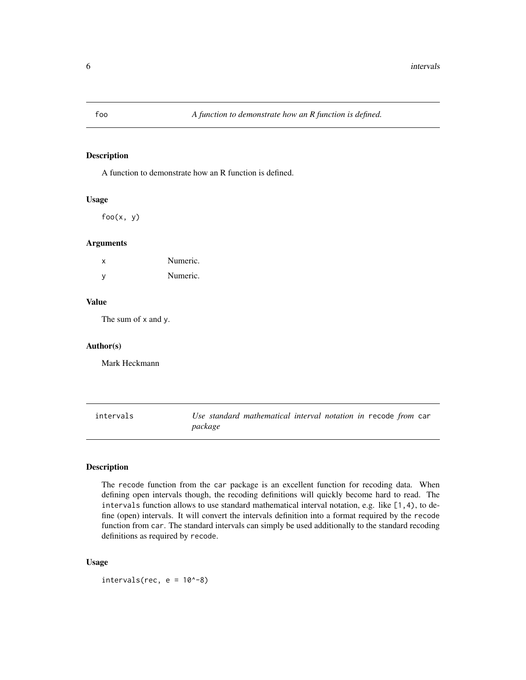<span id="page-5-0"></span>

A function to demonstrate how an R function is defined.

#### Usage

 $foo(x, y)$ 

#### Arguments

| x   | Numeric. |
|-----|----------|
| - V | Numeric. |

#### Value

The sum of x and y.

#### Author(s)

Mark Heckmann

intervals *Use standard mathematical interval notation in* recode *from* car *package*

# Description

The recode function from the car package is an excellent function for recoding data. When defining open intervals though, the recoding definitions will quickly become hard to read. The intervals function allows to use standard mathematical interval notation, e.g. like [1,4), to define (open) intervals. It will convert the intervals definition into a format required by the recode function from car. The standard intervals can simply be used additionally to the standard recoding definitions as required by recode.

#### Usage

intervals(rec,  $e = 10^x - 8$ )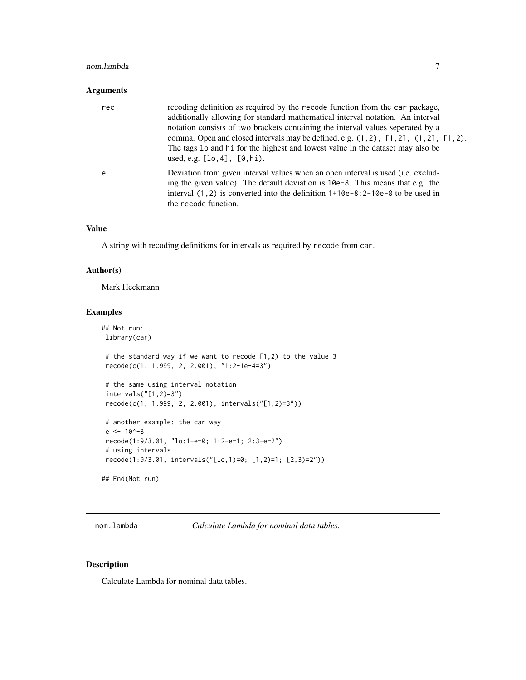#### <span id="page-6-0"></span>nom.lambda 7

#### Arguments

| rec | recoding definition as required by the recode function from the car package,<br>additionally allowing for standard mathematical interval notation. An interval<br>notation consists of two brackets containing the interval values seperated by a<br>comma. Open and closed intervals may be defined, e.g. (1,2), [1,2], (1,2], [1,2).<br>The tags 10 and hi for the highest and lowest value in the dataset may also be<br>used, e.g. $[10, 4]$ , $[0, hi)$ . |
|-----|----------------------------------------------------------------------------------------------------------------------------------------------------------------------------------------------------------------------------------------------------------------------------------------------------------------------------------------------------------------------------------------------------------------------------------------------------------------|
| e   | Deviation from given interval values when an open interval is used (i.e. exclud-<br>ing the given value). The default deviation is 10e-8. This means that e.g. the<br>interval $(1, 2)$ is converted into the definition $1+10e-8:2-10e-8$ to be used in<br>the recode function.                                                                                                                                                                               |

#### Value

A string with recoding definitions for intervals as required by recode from car.

#### Author(s)

Mark Heckmann

#### Examples

```
## Not run:
library(car)
# the standard way if we want to recode [1,2) to the value 3
recode(c(1, 1.999, 2, 2.001), "1:2-1e-4=3")
# the same using interval notation
intervals("[1,2)=3")
recode(c(1, 1.999, 2, 2.001), intervals("[1,2)=3"))
# another example: the car way
e <- 10^-8
recode(1:9/3.01, "lo:1-e=0; 1:2-e=1; 2:3-e=2")
# using intervals
recode(1:9/3.01, intervals("[lo,1)=0; [1,2)=1; [2,3)=2"))
## End(Not run)
```
nom.lambda *Calculate Lambda for nominal data tables.*

#### Description

Calculate Lambda for nominal data tables.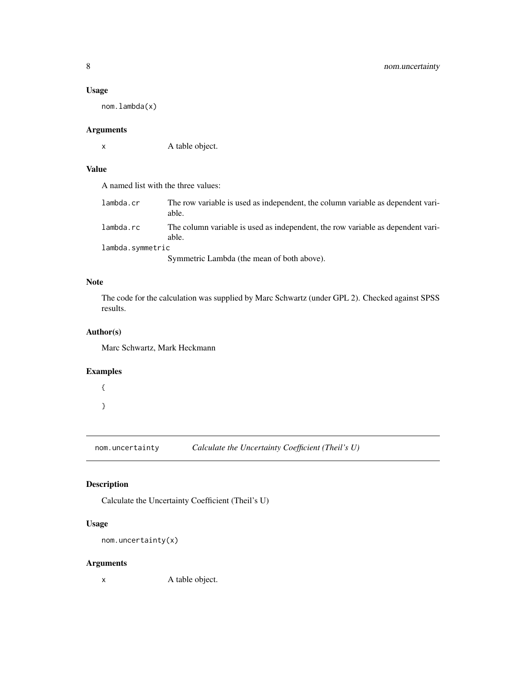#### <span id="page-7-0"></span>Usage

nom.lambda(x)

# Arguments

x A table object.

# Value

A named list with the three values:

| lambda.cr        | The row variable is used as independent, the column variable as dependent vari-<br>able. |
|------------------|------------------------------------------------------------------------------------------|
| lambda.rc        | The column variable is used as independent, the row variable as dependent vari-<br>able. |
| lambda.symmetric |                                                                                          |
|                  |                                                                                          |

Symmetric Lambda (the mean of both above).

# Note

The code for the calculation was supplied by Marc Schwartz (under GPL 2). Checked against SPSS results.

# Author(s)

Marc Schwartz, Mark Heckmann

#### Examples

```
{
}
```
nom.uncertainty *Calculate the Uncertainty Coefficient (Theil's U)*

# Description

Calculate the Uncertainty Coefficient (Theil's U)

# Usage

nom.uncertainty(x)

#### Arguments

x A table object.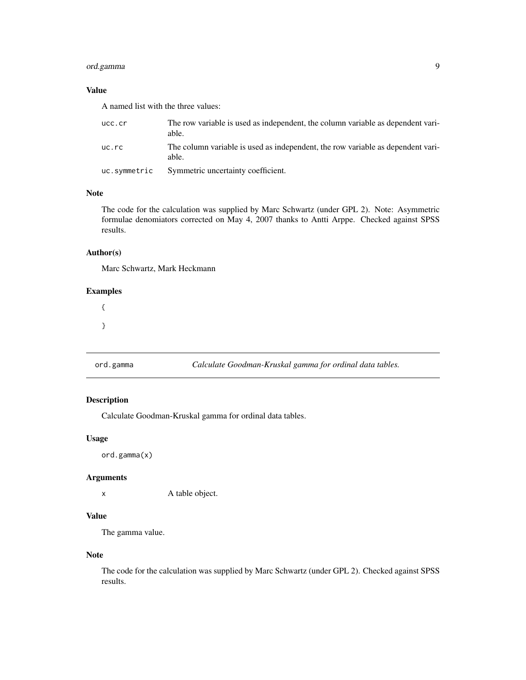# <span id="page-8-0"></span>ord.gamma 9

# Value

A named list with the three values:

| ucc.cr       | The row variable is used as independent, the column variable as dependent vari-<br>able. |
|--------------|------------------------------------------------------------------------------------------|
| uc.rc        | The column variable is used as independent, the row variable as dependent vari-<br>able. |
| uc.symmetric | Symmetric uncertainty coefficient.                                                       |

## Note

The code for the calculation was supplied by Marc Schwartz (under GPL 2). Note: Asymmetric formulae denomiators corrected on May 4, 2007 thanks to Antti Arppe. Checked against SPSS results.

# Author(s)

Marc Schwartz, Mark Heckmann

#### Examples

{ }

ord.gamma *Calculate Goodman-Kruskal gamma for ordinal data tables.*

#### Description

Calculate Goodman-Kruskal gamma for ordinal data tables.

#### Usage

ord.gamma(x)

#### Arguments

x A table object.

# Value

The gamma value.

#### Note

The code for the calculation was supplied by Marc Schwartz (under GPL 2). Checked against SPSS results.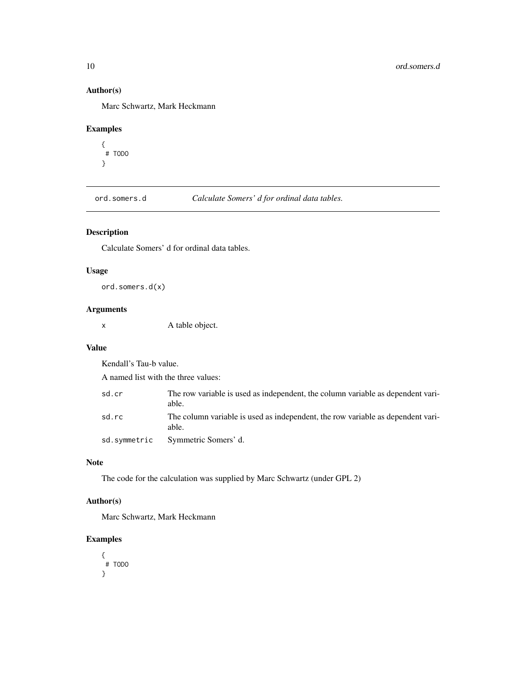# Author(s)

Marc Schwartz, Mark Heckmann

#### Examples

```
{
 # TODO
}
```
ord.somers.d *Calculate Somers' d for ordinal data tables.*

# Description

Calculate Somers' d for ordinal data tables.

# Usage

ord.somers.d(x)

# Arguments

x A table object.

#### Value

Kendall's Tau-b value.

A named list with the three values:

| sd.cr        | The row variable is used as independent, the column variable as dependent vari-<br>able. |
|--------------|------------------------------------------------------------------------------------------|
| sd.rc        | The column variable is used as independent, the row variable as dependent vari-<br>able. |
| sd.symmetric | Symmetric Somers' d.                                                                     |

#### Note

The code for the calculation was supplied by Marc Schwartz (under GPL 2)

# Author(s)

Marc Schwartz, Mark Heckmann

# Examples

```
{
 # TODO
}
```
<span id="page-9-0"></span>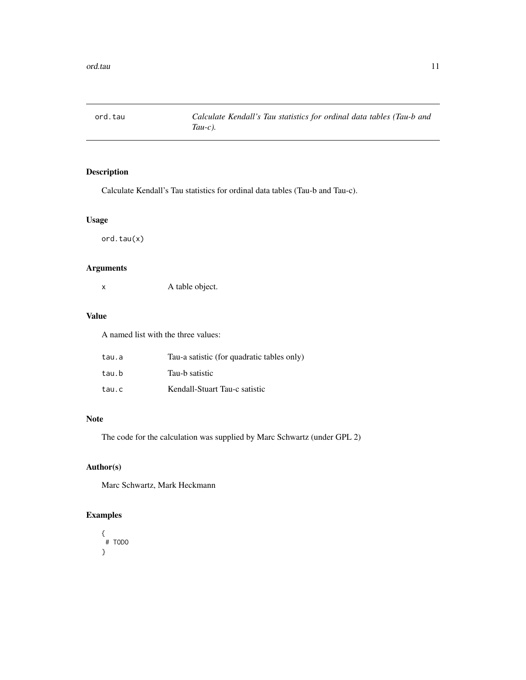<span id="page-10-0"></span>

Calculate Kendall's Tau statistics for ordinal data tables (Tau-b and Tau-c).

# Usage

ord.tau(x)

# Arguments

x A table object.

# Value

A named list with the three values:

| tau.a | Tau-a satistic (for quadratic tables only) |
|-------|--------------------------------------------|
| tau.b | Tau-b satistic                             |
| tau.c | Kendall-Stuart Tau-c satistic              |

#### Note

The code for the calculation was supplied by Marc Schwartz (under GPL 2)

# Author(s)

Marc Schwartz, Mark Heckmann

# Examples

{ # TODO }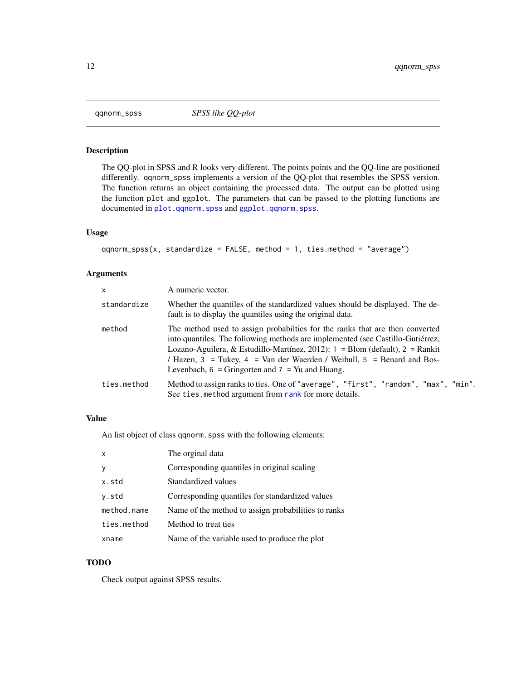<span id="page-11-0"></span>

The QQ-plot in SPSS and R looks very different. The points points and the QQ-line are positioned differently. qqnorm\_spss implements a version of the QQ-plot that resembles the SPSS version. The function returns an object containing the processed data. The output can be plotted using the function plot and ggplot. The parameters that can be passed to the plotting functions are documented in [plot.qqnorm.spss](#page-0-0) and [ggplot.qqnorm.spss](#page-0-0).

#### Usage

```
qqnorm\_spss(x, standardize = FALSE, method = 1, ties.method = "average")
```
#### Arguments

| $\mathsf{x}$ | A numeric vector.                                                                                                                                                                                                                                                                                                                                                                                 |
|--------------|---------------------------------------------------------------------------------------------------------------------------------------------------------------------------------------------------------------------------------------------------------------------------------------------------------------------------------------------------------------------------------------------------|
| standardize  | Whether the quantiles of the standardized values should be displayed. The de-<br>fault is to display the quantiles using the original data.                                                                                                                                                                                                                                                       |
| method       | The method used to assign probabilties for the ranks that are then converted<br>into quantiles. The following methods are implemented (see Castillo-Gutiérrez,<br>Lozano-Aguilera, & Estudillo-Martínez, 2012): $1 = \text{Blom}$ (default), $2 = \text{Rankit}$<br>/ Hazen, 3 = Tukey, 4 = Van der Waerden / Weibull, 5 = Benard and Bos-<br>Levenbach, $6 =$ Gringorten and $7 =$ Yu and Huang. |
| ties.method  | Method to assign ranks to ties. One of "average", "first", "random", "max", "min".<br>See ties. method argument from rank for more details.                                                                                                                                                                                                                                                       |

#### Value

An list object of class qqnorm.spss with the following elements:

| $\mathsf{x}$ | The orginal data                                    |
|--------------|-----------------------------------------------------|
| V            | Corresponding quantiles in original scaling         |
| x.std        | Standardized values                                 |
| y.std        | Corresponding quantiles for standardized values     |
| method.name  | Name of the method to assign probabilities to ranks |
| ties.method  | Method to treat ties                                |
| xname        | Name of the variable used to produce the plot       |

# TODO

Check output against SPSS results.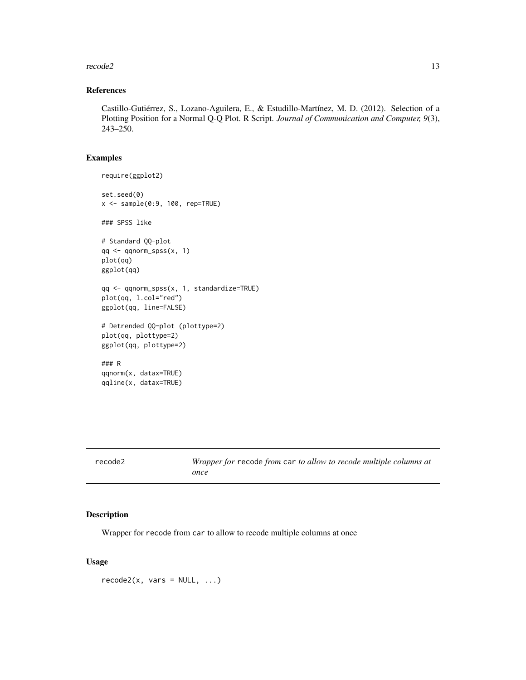#### <span id="page-12-0"></span> $recode2$  13

## References

Castillo-Gutiérrez, S., Lozano-Aguilera, E., & Estudillo-Martínez, M. D. (2012). Selection of a Plotting Position for a Normal Q-Q Plot. R Script. *Journal of Communication and Computer, 9*(3), 243–250.

#### Examples

```
require(ggplot2)
set.seed(0)
x \leq - sample(0:9, 100, rep=TRUE)
### SPSS like
# Standard QQ-plot
qq <- qqnorm_spss(x, 1)
plot(qq)
ggplot(qq)
qq <- qqnorm_spss(x, 1, standardize=TRUE)
plot(qq, l.col="red")
ggplot(qq, line=FALSE)
# Detrended QQ-plot (plottype=2)
plot(qq, plottype=2)
ggplot(qq, plottype=2)
### R
qqnorm(x, datax=TRUE)
qqline(x, datax=TRUE)
```

| recode2 | Wrapper for recode from car to allow to recode multiple columns at<br>once |
|---------|----------------------------------------------------------------------------|
|         |                                                                            |

# Description

Wrapper for recode from car to allow to recode multiple columns at once

#### Usage

 $recode2(x, vars = NULL, ...)$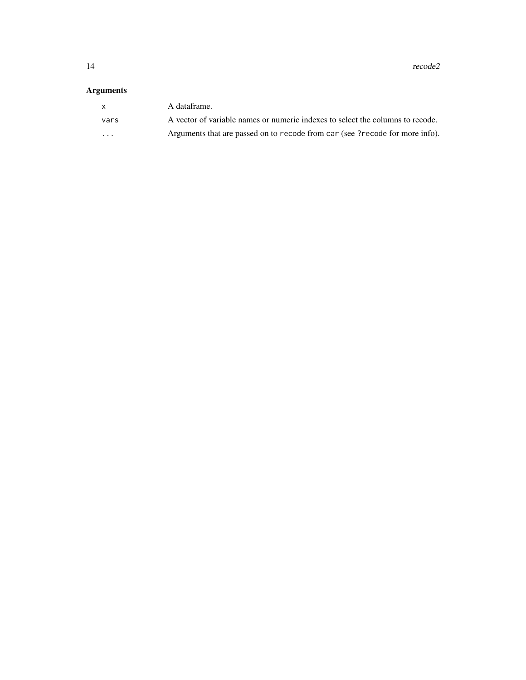14 recode2

# Arguments

| X        | A dataframe.                                                                   |
|----------|--------------------------------------------------------------------------------|
| vars     | A vector of variable names or numeric indexes to select the columns to recode. |
| $\cdots$ | Arguments that are passed on to recode from car (see ? recode for more info).  |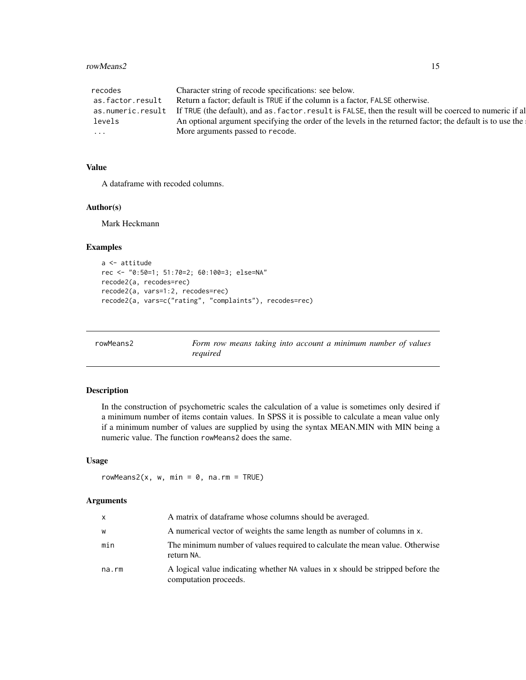#### <span id="page-14-0"></span>rowMeans2 15

| recodes           | Character string of recode specifications: see below.                                                     |
|-------------------|-----------------------------------------------------------------------------------------------------------|
| as.factor.result  | Return a factor; default is TRUE if the column is a factor, FALSE otherwise.                              |
| as.numeric.result | If TRUE (the default), and as factor, result is FALSE, then the result will be coerced to numeric if al   |
| levels            | An optional argument specifying the order of the levels in the returned factor; the default is to use the |
| $\cdots$          | More arguments passed to recode.                                                                          |
|                   |                                                                                                           |

#### Value

A dataframe with recoded columns.

#### Author(s)

Mark Heckmann

#### Examples

```
a <- attitude
rec <- "0:50=1; 51:70=2; 60:100=3; else=NA"
recode2(a, recodes=rec)
recode2(a, vars=1:2, recodes=rec)
recode2(a, vars=c("rating", "complaints"), recodes=rec)
```

| rowMeans2 | Form row means taking into account a minimum number of values |  |  |  |  |  |
|-----------|---------------------------------------------------------------|--|--|--|--|--|
|           | reauired                                                      |  |  |  |  |  |

# Description

In the construction of psychometric scales the calculation of a value is sometimes only desired if a minimum number of items contain values. In SPSS it is possible to calculate a mean value only if a minimum number of values are supplied by using the syntax MEAN.MIN with MIN being a numeric value. The function rowMeans2 does the same.

# Usage

rowMeans2(x, w, min =  $0$ , na.rm = TRUE)

### Arguments

| x     | A matrix of dataframe whose columns should be averaged.                                                  |
|-------|----------------------------------------------------------------------------------------------------------|
| W     | A numerical vector of weights the same length as number of columns in x.                                 |
| min   | The minimum number of values required to calculate the mean value. Otherwise<br>return NA.               |
| na.rm | A logical value indicating whether NA values in x should be stripped before the<br>computation proceeds. |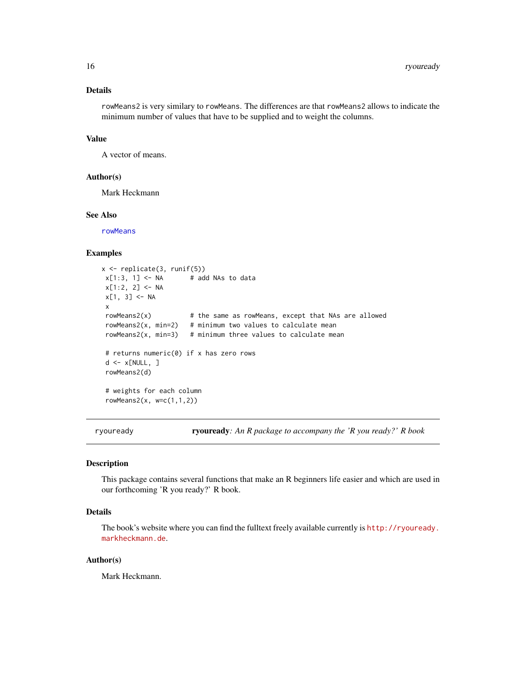#### <span id="page-15-0"></span>Details

rowMeans2 is very similary to rowMeans. The differences are that rowMeans2 allows to indicate the minimum number of values that have to be supplied and to weight the columns.

#### Value

A vector of means.

#### Author(s)

Mark Heckmann

#### See Also

[rowMeans](#page-0-0)

#### Examples

```
x <- replicate(3, runif(5))
x[1:3, 1] <- NA \qquad # add NAs to data
x[1:2, 2] <- NA
x[1, 3] <- NA
x
rowMeans2(x) # the same as rowMeans, except that NAs are allowed
rowMeans2(x, min=2) # minimum two values to calculate mean
rowMeans2(x, min=3) # minimum three values to calculate mean
# returns numeric(0) if x has zero rows
d \leq x[NULL, ]
rowMeans2(d)
# weights for each column
rowMeans2(x, w=c(1,1,2))
```
ryouready ryouready*: An R package to accompany the 'R you ready?' R book*

#### Description

This package contains several functions that make an R beginners life easier and which are used in our forthcoming 'R you ready?' R book.

#### Details

The book's website where you can find the fulltext freely available currently is [http://ryouready.](http://ryouready.markheckmann.de) [markheckmann.de](http://ryouready.markheckmann.de).

#### Author(s)

Mark Heckmann.